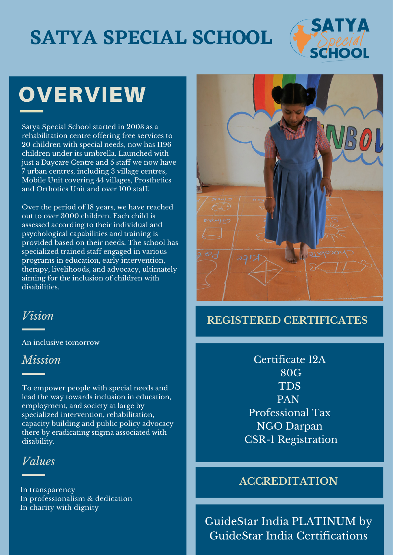## **SATYA SPECIAL SCHOOL**



# **OVERVIEW**

Satya Special School started in 2003 as a rehabilitation centre offering free services to 20 children with special needs, now has 1196 children under its umbrella. Launched with just a Daycare Centre and 5 staff we now have 7 urban centres, including 3 village centres, Mobile Unit covering 44 villages, Prosthetics and Orthotics Unit and over 100 staff.

Over the period of 18 years, we have reached out to over 3000 children. Each child is assessed according to their individual and psychological capabilities and training is provided based on their needs. The school has specialized trained staff engaged in various programs in education, early intervention, therapy, livelihoods, and advocacy, ultimately aiming for the inclusion of children with disabilities.

#### *Vision*

An inclusive tomorrow

#### *Mission*

To empower people with special needs and lead the way towards inclusion in education, employment, and society at large by specialized intervention, rehabilitation, capacity building and public policy advocacy there by eradicating stigma associated with disability.

*Values*

In transparency In professionalism & dedication In charity with dignity



#### **REGISTERED CERTIFICATES**

Certificate 12A 80G TDS PAN Professional Tax NGO Darpan CSR-1 Registration

#### **ACCREDITATION**

GuideStar India PLATINUM by GuideStar India Certifications